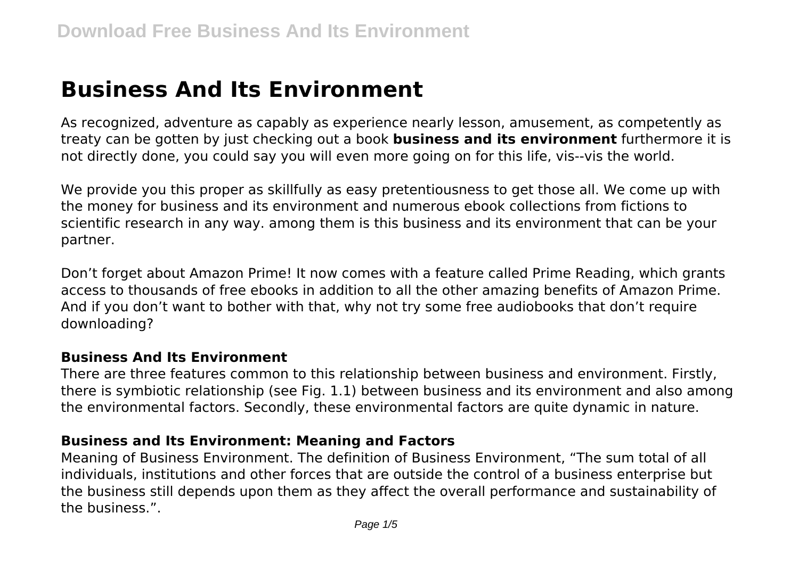# **Business And Its Environment**

As recognized, adventure as capably as experience nearly lesson, amusement, as competently as treaty can be gotten by just checking out a book **business and its environment** furthermore it is not directly done, you could say you will even more going on for this life, vis--vis the world.

We provide you this proper as skillfully as easy pretentiousness to get those all. We come up with the money for business and its environment and numerous ebook collections from fictions to scientific research in any way. among them is this business and its environment that can be your partner.

Don't forget about Amazon Prime! It now comes with a feature called Prime Reading, which grants access to thousands of free ebooks in addition to all the other amazing benefits of Amazon Prime. And if you don't want to bother with that, why not try some free audiobooks that don't require downloading?

#### **Business And Its Environment**

There are three features common to this relationship between business and environment. Firstly, there is symbiotic relationship (see Fig. 1.1) between business and its environment and also among the environmental factors. Secondly, these environmental factors are quite dynamic in nature.

#### **Business and Its Environment: Meaning and Factors**

Meaning of Business Environment. The definition of Business Environment, "The sum total of all individuals, institutions and other forces that are outside the control of a business enterprise but the business still depends upon them as they affect the overall performance and sustainability of the business.".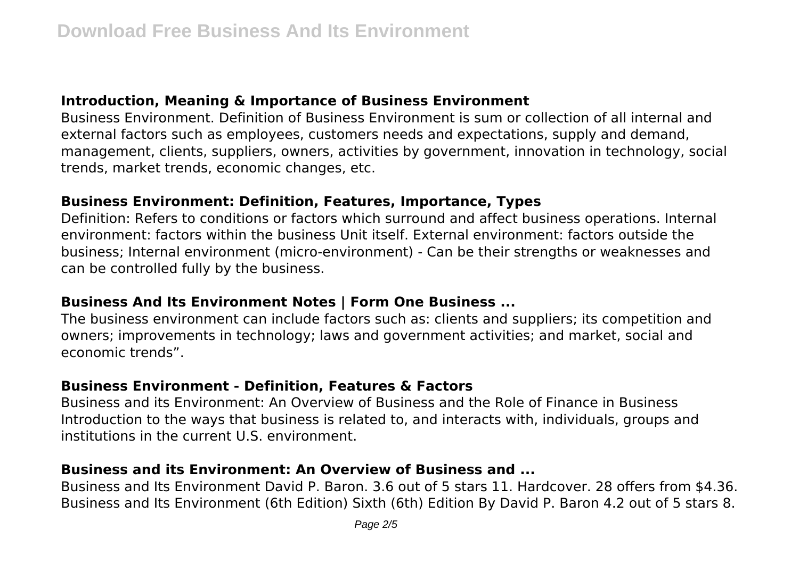## **Introduction, Meaning & Importance of Business Environment**

Business Environment. Definition of Business Environment is sum or collection of all internal and external factors such as employees, customers needs and expectations, supply and demand, management, clients, suppliers, owners, activities by government, innovation in technology, social trends, market trends, economic changes, etc.

## **Business Environment: Definition, Features, Importance, Types**

Definition: Refers to conditions or factors which surround and affect business operations. Internal environment: factors within the business Unit itself. External environment: factors outside the business; Internal environment (micro-environment) - Can be their strengths or weaknesses and can be controlled fully by the business.

## **Business And Its Environment Notes | Form One Business ...**

The business environment can include factors such as: clients and suppliers; its competition and owners; improvements in technology; laws and government activities; and market, social and economic trends".

# **Business Environment - Definition, Features & Factors**

Business and its Environment: An Overview of Business and the Role of Finance in Business Introduction to the ways that business is related to, and interacts with, individuals, groups and institutions in the current U.S. environment.

# **Business and its Environment: An Overview of Business and ...**

Business and Its Environment David P. Baron. 3.6 out of 5 stars 11. Hardcover. 28 offers from \$4.36. Business and Its Environment (6th Edition) Sixth (6th) Edition By David P. Baron 4.2 out of 5 stars 8.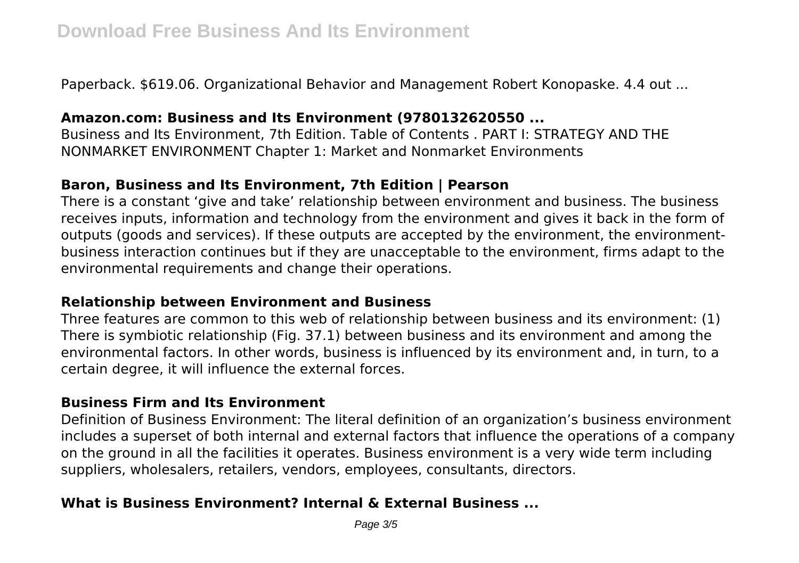Paperback. \$619.06. Organizational Behavior and Management Robert Konopaske. 4.4 out ...

## **Amazon.com: Business and Its Environment (9780132620550 ...**

Business and Its Environment, 7th Edition. Table of Contents . PART I: STRATEGY AND THE NONMARKET ENVIRONMENT Chapter 1: Market and Nonmarket Environments

## **Baron, Business and Its Environment, 7th Edition | Pearson**

There is a constant 'give and take' relationship between environment and business. The business receives inputs, information and technology from the environment and gives it back in the form of outputs (goods and services). If these outputs are accepted by the environment, the environmentbusiness interaction continues but if they are unacceptable to the environment, firms adapt to the environmental requirements and change their operations.

## **Relationship between Environment and Business**

Three features are common to this web of relationship between business and its environment: (1) There is symbiotic relationship (Fig. 37.1) between business and its environment and among the environmental factors. In other words, business is influenced by its environment and, in turn, to a certain degree, it will influence the external forces.

#### **Business Firm and Its Environment**

Definition of Business Environment: The literal definition of an organization's business environment includes a superset of both internal and external factors that influence the operations of a company on the ground in all the facilities it operates. Business environment is a very wide term including suppliers, wholesalers, retailers, vendors, employees, consultants, directors.

# **What is Business Environment? Internal & External Business ...**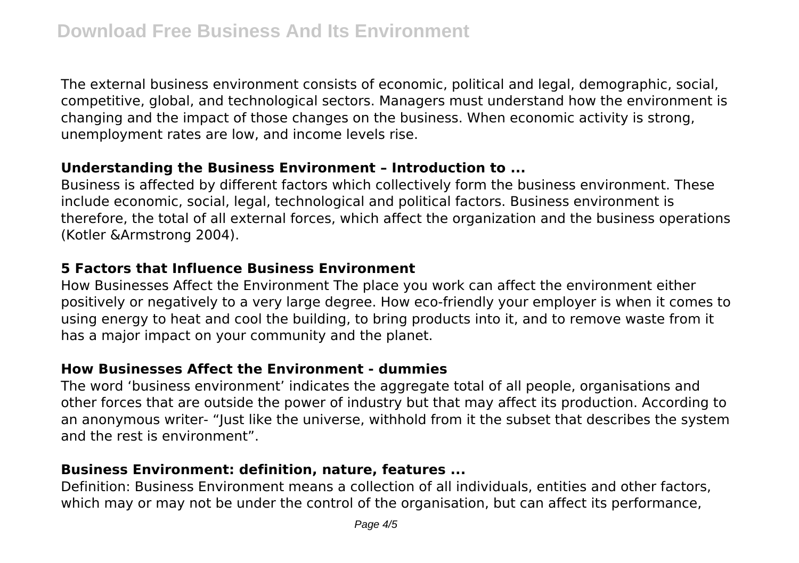The external business environment consists of economic, political and legal, demographic, social, competitive, global, and technological sectors. Managers must understand how the environment is changing and the impact of those changes on the business. When economic activity is strong, unemployment rates are low, and income levels rise.

## **Understanding the Business Environment – Introduction to ...**

Business is affected by different factors which collectively form the business environment. These include economic, social, legal, technological and political factors. Business environment is therefore, the total of all external forces, which affect the organization and the business operations (Kotler &Armstrong 2004).

## **5 Factors that Influence Business Environment**

How Businesses Affect the Environment The place you work can affect the environment either positively or negatively to a very large degree. How eco-friendly your employer is when it comes to using energy to heat and cool the building, to bring products into it, and to remove waste from it has a major impact on your community and the planet.

## **How Businesses Affect the Environment - dummies**

The word 'business environment' indicates the aggregate total of all people, organisations and other forces that are outside the power of industry but that may affect its production. According to an anonymous writer- "Just like the universe, withhold from it the subset that describes the system and the rest is environment".

# **Business Environment: definition, nature, features ...**

Definition: Business Environment means a collection of all individuals, entities and other factors, which may or may not be under the control of the organisation, but can affect its performance,